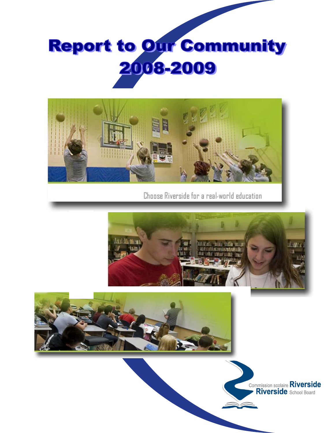



Choose Riverside for a real-world education





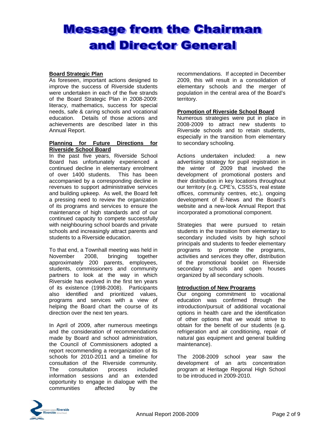## **Message from the Chairman** and Director General

#### **Board Strategic Plan**

As foreseen, important actions designed to improve the success of Riverside students were undertaken in each of the five strands of the Board Strategic Plan in 2008-2009: literacy, mathematics, success for special needs, safe & caring schools and vocational education. Details of those actions and achievements are described later in this Annual Report.

#### **Planning for Future Directions for Riverside School Board**

In the past five years, Riverside School Board has unfortunately experienced a continued decline in elementary enrolment of over 1400 students. This has been accompanied by a corresponding decline in revenues to support administrative services and building upkeep. As well, the Board felt a pressing need to review the organization of its programs and services to ensure the maintenance of high standards and of our continued capacity to compete successfully with neighbouring school boards and private schools and increasingly attract parents and students to a Riverside education.

To that end, a Townhall meeting was held in November 2008, bringing together approximately 200 parents, employees, students, commissioners and community partners to look at the way in which Riverside has evolved in the first ten years of its existence (1998-2008). Participants also identified and prioritized values, programs and services with a view of helping the Board chart the course of its direction over the next ten years.

In April of 2009, after numerous meetings and the consideration of recommendations made by Board and school administration, the Council of Commissioners adopted a report recommending a reorganization of its schools for 2010-2011 and a timeline for consultation of the Riverside community. The consultation process included information sessions and an extended opportunity to engage in dialogue with the communities affected by the

recommendations. If accepted in December 2009, this will result in a consolidation of elementary schools and the merger of population in the central area of the Board's territory.

#### **Promotion of Riverside School Board**

Numerous strategies were put in place in 2008-2009 to attract new students to Riverside schools and to retain students, especially in the transition from elementary to secondary schooling.

Actions undertaken included: a new advertising strategy for pupil registration in the winter of 2009 that involved the development of promotional posters and their distribution in key locations throughout our territory (e.g. CPE's, CSSS's, real estate offices, community centres, etc.), ongoing development of E-News and the Board's website and a new-look Annual Report that incorporated a promotional component.

Strategies that were pursued to retain students in the transition from elementary to secondary included visits by high school principals and students to feeder elementary programs to promote the programs, activities and services they offer, distribution of the promotional booklet on Riverside secondary schools and open houses organized by all secondary schools.

#### **Introduction of New Programs**

Our ongoing commitment to vocational education was confirmed through the introduction/pursuit of additional vocational options in health care and the identification of other options that we would strive to obtain for the benefit of our students (e.g. refrigeration and air conditioning, repair of natural gas equipment and general building maintenance).

The 2008-2009 school year saw the development of an arts concentration program at Heritage Regional High School to be introduced in 2009-2010.

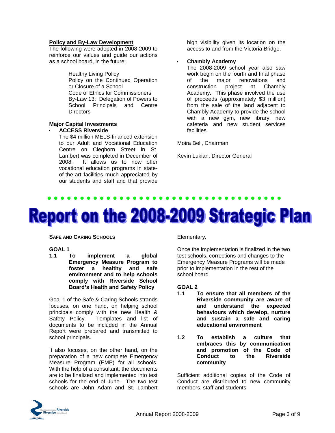#### **Policy and By-Law Development**

The following were adopted in 2008-2009 to reinforce our values and guide our actions as a school board, in the future:

> Healthy Living Policy Policy on the Continued Operation or Closure of a School Code of Ethics for Commissioners By-Law 13: Delegation of Powers to School Principals and Centre **Directors**

#### **Major Capital Investments**

#### **ACCESS Riverside**

The \$4 million MELS-financed extension to our Adult and Vocational Education Centre on Cleghorn Street in St. Lambert was completed in December of 2008. It allows us to now offer vocational education programs in stateof-the-art facilities much appreciated by our students and staff and that provide

high visibility given its location on the access to and from the Victoria Bridge.

#### **Chambly Academy**

The 2008-2009 school year also saw work begin on the fourth and final phase of the major renovations and construction project at Chambly Academy. This phase involved the use of proceeds (approximately \$3 million) from the sale of the land adjacent to Chambly Academy to provide the school with a new gym, new library, new cafeteria and new student services facilities.

Moira Bell, Chairman

Kevin Lukian, Director General

# **Report on the 2008-2009 Strategic Plan**

**SAFE AND CARING SCHOOLS**

#### **GOAL 1**

**1.1 To implement a global Emergency Measure Program to foster a healthy and safe environment and to help schools comply with Riverside School Board's Health and Safety Policy** 

Goal 1 of the Safe & Caring Schools strands focuses, on one hand, on helping school principals comply with the new Health & Safety Policy. Templates and list of documents to be included in the Annual Report were prepared and transmitted to school principals.

It also focuses, on the other hand, on the preparation of a new complete Emergency Measure Program (EMP) for all schools. With the help of a consultant, the documents are to be finalized and implemented into test schools for the end of June. The two test schools are John Adam and St. Lambert

Elementary.

Once the implementation is finalized in the two test schools, corrections and changes to the Emergency Measure Programs will be made prior to implementation in the rest of the school board.

#### **GOAL 2**

- **1.1 To ensure that all members of the Riverside community are aware of and understand the expected behaviours which develop, nurture and sustain a safe and caring educational environment**
- **1.2 To establish a culture that embraces this by communication and promotion of the Code of Conduct to the Riverside community**

Sufficient additional copies of the Code of Conduct are distributed to new community members, staff and students.

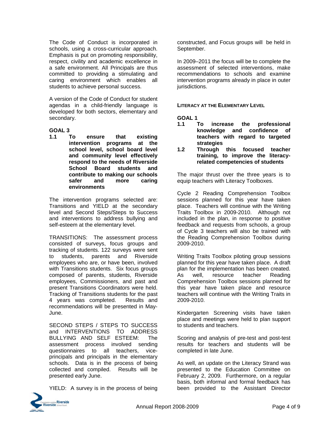The Code of Conduct is incorporated in schools, using a cross-curricular approach. Emphasis is put on promoting responsibility, respect, civility and academic excellence in a safe environment. All Principals are thus committed to providing a stimulating and caring environment which enables all students to achieve personal success.

A version of the Code of Conduct for student agendas in a child-friendly language is developed for both sectors, elementary and secondary.

**GOAL 3 1.1 To ensure that existing intervention programs at the school level, school board level and community level effectively respond to the needs of Riverside School Board students and contribute to making our schools safer and more caring environments**

The intervention programs selected are: Transitions and YIELD at the secondary level and Second Steps/Steps to Success and interventions to address bullying and self-esteem at the elementary level.

TRANSITIONS: The assessment process consisted of surveys, focus groups and tracking of students. 122 surveys were sent to students, parents and Riverside employees who are, or have been, involved with Transitions students. Six focus groups composed of parents, students, Riverside employees, Commissioners, and past and present Transitions Coordinators were held. Tracking of Transitions students for the past 4 years was completed. Results and recommendations will be presented in May-June.

SECOND STEPS / STEPS TO SUCCESS and INTERVENTIONS TO ADDRESS BULLYING AND SELF ESTEEM: The assessment process involved sending questionnaires to all teachers, viceprincipals and principals in the elementary schools. Data is in the process of being collected and compiled. Results will be presented early June.

YIELD: A survey is in the process of being



In 2009–2011 the focus will be to complete the assessment of selected interventions, make recommendations to schools and examine intervention programs already in place in outer jurisdictions.

#### **LITERACY AT THE ELEMENTARY LEVEL**

**GOAL 1** 

- **1.1 To increase the professional knowledge and confidence of teachers with regard to targeted strategies**
- **1.2 Through this focused teacher training, to improve the literacyrelated competencies of students**

The major thrust over the three years is to equip teachers with Literacy Toolboxes.

Cycle 2 Reading Comprehension Toolbox sessions planned for this year have taken place. Teachers will continue with the Writing Traits Toolbox in 2009-2010. Although not included in the plan, in response to positive feedback and requests from schools, a group of Cycle 3 teachers will also be trained with the Reading Comprehension Toolbox during 2009-2010.

Writing Traits Toolbox piloting group sessions planned for this year have taken place. A draft plan for the implementation has been created. As well, resource teacher Reading Comprehension Toolbox sessions planned for this year have taken place and resource teachers will continue with the Writing Traits in 2009-2010.

Kindergarten Screening visits have taken place and meetings were held to plan support to students and teachers.

Scoring and analysis of pre-test and post-test results for teachers and students will be completed in late June.

As well, an update on the Literacy Strand was presented to the Education Committee on February 2, 2009. Furthermore, on a regular basis, both informal and formal feedback has been provided to the Assistant Director

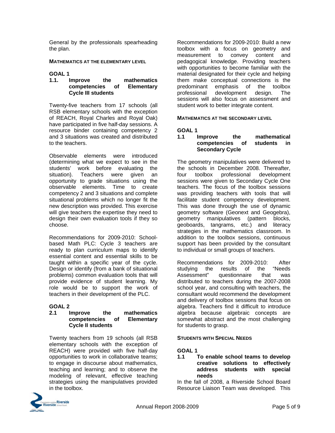General by the professionals spearheading the plan.

#### **MATHEMATICS AT THE ELEMENTARY LEVEL**

#### **GOAL 1**

#### **1.1. Improve the mathematics competencies of Elementary Cycle III students**

Twenty-five teachers from 17 schools (all RSB elementary schools with the exception of REACH, Royal Charles and Royal Oak) have participated in five half-day sessions. A resource binder containing competency 2 and 3 situations was created and distributed to the teachers.

Observable elements were introduced (determining what we expect to see in the students' work before evaluating the situation). Teachers were given an opportunity to grade situations using the observable elements. Time to create competency 2 and 3 situations and complete situational problems which no longer fit the new description was provided. This exercise will give teachers the expertise they need to design their own evaluation tools if they so choose.

Recommendations for 2009-2010: Schoolbased Math PLC: Cycle 3 teachers are ready to plan curriculum maps to identify essential content and essential skills to be taught within a specific year of the cycle. Design or identify (from a bank of situational problems) common evaluation tools that will provide evidence of student learning. My role would be to support the work of teachers in their development of the PLC.

#### **GOAL 2**

#### **2.1 Improve the mathematics competencies of Elementary Cycle II students**

Twenty teachers from 19 schools (all RSB elementary schools with the exception of REACH) were provided with five half-day opportunities to work in collaborative teams; to engage in discourse about mathematics, teaching and learning; and to observe the modeling of relevant, effective teaching strategies using the manipulatives provided in the toolbox.



#### **MATHEMATICS AT THE SECONDARY LEVEL**

#### **GOAL 1**

#### **1.1 Improve the mathematical competencies of students in Secondary Cycle**

The geometry manipulatives were delivered to the schools in December 2008. Thereafter, four toolbox professional development sessions were given to Secondary Cycle One teachers. The focus of the toolbox sessions was providing teachers with tools that will facilitate student competency development. This was done through the use of dynamic geometry software (Geonext and Geogebra), geometry manipulatives (pattern blocks, geoboards, tangrams, etc.) and literacy strategies in the mathematics classroom. In addition to the toolbox sessions, continuous support has been provided by the consultant to individual or small groups of teachers.

Recommendations for 2009-2010: After studying the results of the "Needs Assessment" questionnaire that was distributed to teachers during the 2007-2008 school year, and consulting with teachers, the consultant would recommend the development and delivery of toolbox sessions that focus on algebra. Teachers find it difficult to introduce algebra because algebraic concepts are somewhat abstract and the most challenging for students to grasp.

#### **STUDENTS WITH SPECIAL NEEDS**

#### **GOAL 1**

#### **1.1 To enable school teams to develop creative solutions to effectively address students with special needs**

In the fall of 2008, a Riverside School Board Resource Liaison Team was developed. This

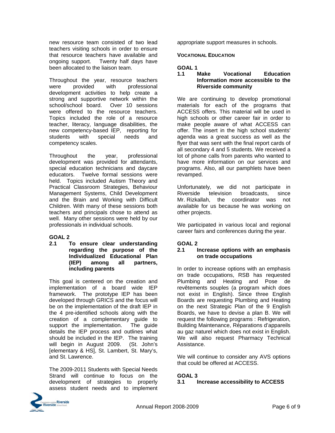new resource team consisted of two lead teachers visiting schools in order to ensure that resource teachers have available and ongoing support. Twenty half days have been allocated to the liaison team.

Throughout the year, resource teachers were provided with professional development activities to help create a strong and supportive network within the school/school board. Over 10 sessions were offered to the resource teachers. Topics included the role of a resource teacher, literacy, language disabilities, the new competency-based IEP, reporting for students with special needs and competency scales.

Throughout the year, professional development was provided for attendants, special education technicians and daycare educators. Twelve formal sessions were held. Topics included Autism Theory and Practical Classroom Strategies, Behaviour Management Systems, Child Development and the Brain and Working with Difficult Children. With many of these sessions both teachers and principals chose to attend as well. Many other sessions were held by our professionals in individual schools.

#### **GOAL 2**

**2.1 To ensure clear understanding regarding the purpose of the Individualized Educational Plan (IEP) among all partners, including parents** 

This goal is centered on the creation and implementation of a board wide IEP framework. The prototype IEP has been developed through GRICS and the focus will be on the implementation of the draft IEP in the 4 pre-identified schools along with the creation of a complementary guide to support the implementation. The quide details the IEP process and outlines what should be included in the IEP. The training will begin in August 2009. (St. John's [elementary & HS], St. Lambert, St. Mary's, and St. Lawrence.

The 2009-2011 Students with Special Needs Strand will continue to focus on the development of strategies to properly assess student needs and to implement appropriate support measures in schools.

#### **VOCATIONAL EDUCATION**

#### **GOAL 1**

#### **1.1 Make Vocational Education Information more accessible to the Riverside community**

We are continuing to develop promotional materials for each of the programs that ACCESS offers. This material will be used in high schools or other career fair in order to make people aware of what ACCESS can offer. The insert in the high school students' agenda was a great success as well as the flyer that was sent with the final report cards of all secondary 4 and 5 students. We received a lot of phone calls from parents who wanted to have more information on our services and programs. Also, all our pamphlets have been revamped.

Unfortunately, we did not participate in Riverside television broadcasts, since Mr. Rizkallah, the coordinator was not available for us because he was working on other projects.

We participated in various local and regional career fairs and conferences during the year.

#### **GOAL 2**

#### **2.1 Increase options with an emphasis on trade occupations**

In order to increase options with an emphasis on trade occupations, RSB has requested Plumbing and Heating and Pose de revêtements souples (a program which does not exist in English). Since three English Boards are requesting Plumbing and Heating on the next Strategic Plan of the 9 English Boards, we have to devise a plan B. We will request the following programs : Refrigeration, Building Maintenance, Réparations d'appareils au gaz naturel which does not exist in English. We will also request Pharmacy Technical Assistance.

We will continue to consider any AVS options that could be offered at ACCESS.

#### **GOAL 3**

#### **3.1 Increase accessibility to ACCESS**

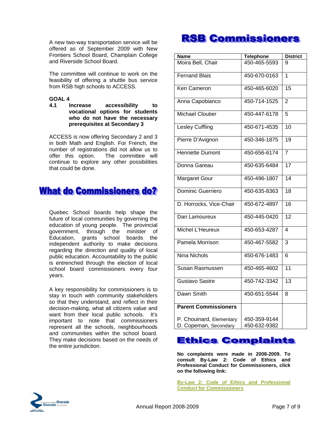A new two-way transportation service will be offered as of September 2009 with New Frontiers School Board, Champlain College and Riverside School Board.

The committee will continue to work on the feasibility of offering a shuttle bus service from RSB high schools to ACCESS.

#### **GOAL 4**

**4.1 Increase accessibility to vocational options for students who do not have the necessary prerequisites at Secondary 3**

ACCESS is now offering Secondary 2 and 3 in both Math and English. For French, the number of registrations did not allow us to offer this option. The committee will continue to explore any other possibilities that could be done.

## **What do Commissioners do?**

Quebec School boards help shape the future of local communities by governing the education of young people. The provincial government, through the minister of Education, grants school boards the independent authority to make decisions regarding the direction and quality of local public education. Accountability to the public is entrenched through the election of local school board commissioners every four years.

A key responsibility for commissioners is to stay in touch with community stakeholders so that they understand, and reflect in their decision-making, what all citizens value and want from their local public schools. It's important to note that commissioners represent all the schools, neighbourhoods and communities within the school board. They make decisions based on the needs of the entire jurisdiction.

## **RSB Commissioners**

| <b>Name</b>                                       | <b>Telephone</b> | <b>District</b> |
|---------------------------------------------------|------------------|-----------------|
| Moira Bell, Chair                                 | 450-465-5593     | 9               |
| <b>Fernand Blais</b>                              | 450-670-0163     | 1               |
| Ken Cameron                                       | 450-465-6020     | $\overline{15}$ |
| Anna Capobianco                                   | 450-714-1525     | $\overline{2}$  |
| <b>Michael Cloutier</b>                           | 450-447-6178     | 5               |
| <b>Lesley Cuffling</b>                            | 450-671-4535     | 10              |
| Pierre D'Avignon                                  | 450-346-1875     | 19              |
| <b>Henriette Dumont</b>                           | 450-656-6174     | $\overline{7}$  |
| Donna Gareau                                      | 450-635-6484     | $\overline{17}$ |
| <b>Margaret Gour</b>                              | 450-496-1807     | $\overline{14}$ |
| Dominic Guerriero                                 | 450-635-8363     | 18              |
| D. Horrocks, Vice-Chair                           | 450-672-4897     | 16              |
| Dan Lamoureux                                     | 450-445-0420     | $\overline{12}$ |
| Michel L'Heureux                                  | 450-653-4287     | 4               |
| Pamela Morrison                                   | 450-467-5582     | 3               |
| <b>Nina Nichols</b>                               | 450-676-1483     | 6               |
| Susan Rasmussen                                   | 450-465-4602     | 11              |
| Gustavo Sastre                                    | 450-742-3342     | 13              |
| Dawn Smith                                        | 450-651-5544     | 8               |
| <b>Parent Commissioners</b>                       |                  |                 |
|                                                   | 450-359-9144     |                 |
| P. Chouinard, Elementary<br>D. Copeman, Secondary | 450-632-9382     |                 |

## **Ethics Complaints**

**No complaints were made in 2008-2009. To consult By-Law 2: Code of Ethics and Professional Conduct for Commissioners, click on the following link:** 

**By-Law 2: Code of Ethics and Professional Conduct for Commissioners**

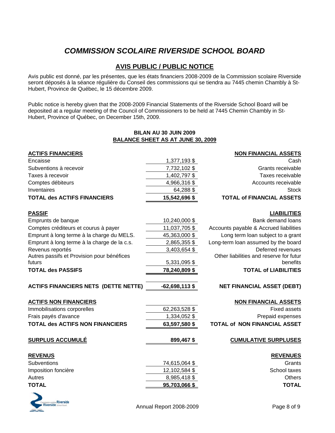## *COMMISSION SCOLAIRE RIVERSIDE SCHOOL BOARD*

### **AVIS PUBLIC / PUBLIC NOTICE**

Avis public est donné, par les présentes, que les états financiers 2008-2009 de la Commission scolaire Riverside seront déposés à la séance régulière du Conseil des commissions qui se tiendra au 7445 chemin Chambly à St-Hubert, Province de Québec, le 15 décembre 2009.

Public notice is hereby given that the 2008-2009 Financial Statements of the Riverside School Board will be deposited at a regular meeting of the Council of Commissioners to be held at 7445 Chemin Chambly in St-Hubert, Province of Québec, on December 15th, 2009.

#### **BILAN AU 30 JUIN 2009 BALANCE SHEET AS AT JUNE 30, 2009**

| <b>ACTIFS FINANCIERS</b>                    |                  | <b>NON FINANCIAL ASSETS</b>             |
|---------------------------------------------|------------------|-----------------------------------------|
| Encaisse                                    | 1,377,193 \$     | Cash                                    |
| Subventions à recevoir                      | 7,732,102 \$     | Grants receivable                       |
| Taxes à recevoir                            | 1,402,797 \$     | Taxes receivable                        |
| Comptes débiteurs                           | 4,966,316 \$     | Accounts receivable                     |
| Inventaires                                 | 64,288 \$        | <b>Stock</b>                            |
| <b>TOTAL des ACTIFS FINANCIERS</b>          | 15,542,696 \$    | <b>TOTAL of FINANCIAL ASSETS</b>        |
| <b>PASSIF</b>                               |                  | <b>LIABILITIES</b>                      |
| Emprunts de banque                          | 10,240,000 \$    | <b>Bank demand loans</b>                |
| Comptes créditeurs et courus à payer        | 11,037,705 \$    | Accounts payable & Accrued liabilities  |
| Emprunt à long terme à la charge du MELS.   | 45,363,000 \$    | Long term loan subject to a grant       |
| Emprunt à long terme à la charge de la c.s. | 2,865,355 \$     | Long-term loan assumed by the board     |
| Revenus reportés                            | 3,403,654 \$     | Deferred revenues                       |
| Autres passifs et Provision pour bénéfices  |                  | Other liabilities and reserve for futur |
| futurs                                      | 5,331,095 \$     | benefits                                |
| <b>TOTAL des PASSIFS</b>                    | 78,240,809 \$    | <b>TOTAL of LIABILITIES</b>             |
| <b>ACTIFS FINANCIERS NETS (DETTE NETTE)</b> | $-62,698,113$ \$ | <b>NET FINANCIAL ASSET (DEBT)</b>       |
| <b>ACTIFS NON FINANCIERS</b>                |                  | <b>NON FINANCIAL ASSETS</b>             |
| Immobilisations corporelles                 | 62,263,528 \$    | <b>Fixed assets</b>                     |
| Frais payés d'avance                        | 1,334,052 \$     | Prepaid expenses                        |
| <b>TOTAL des ACTIFS NON FINANCIERS</b>      | 63,597,580 \$    | <b>TOTAL of NON FINANCIAL ASSET</b>     |
| <b>SURPLUS ACCUMULÉ</b>                     | 899,467\$        | <b>CUMULATIVE SURPLUSES</b>             |
| <b>REVENUS</b>                              |                  | <b>REVENUES</b>                         |
| <b>Subventions</b>                          | 74,615,064 \$    | Grants                                  |
| Imposition foncière                         | 12,102,584 \$    | School taxes                            |
| Autres                                      | 8,985,418 \$     | Others                                  |
| <b>TOTAL</b>                                | 95,703,066 \$    | <b>TOTAL</b>                            |
|                                             |                  |                                         |